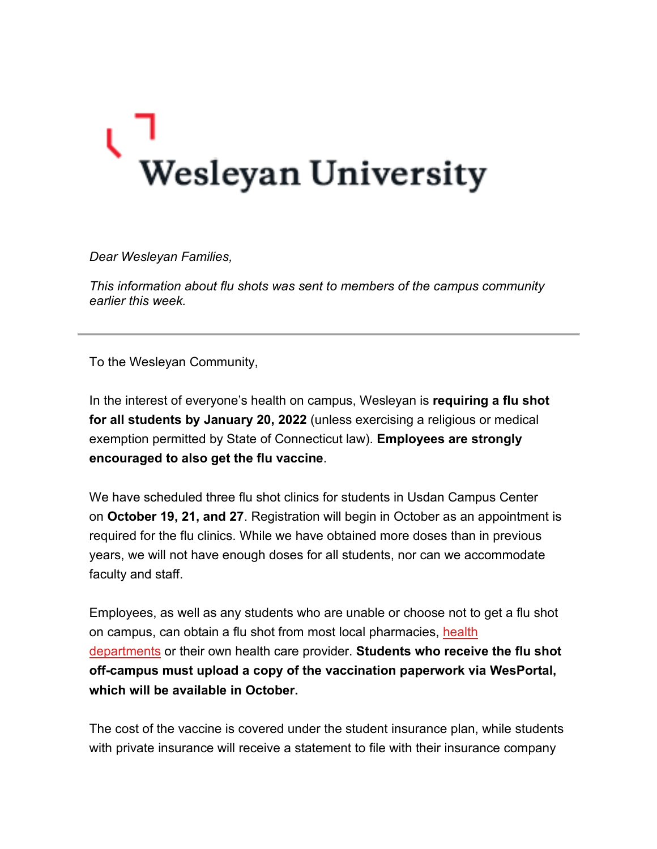## V<br>Wesleyan University

*Dear Wesleyan Families,*

*This information about flu shots was sent to members of the campus community earlier this week.*

To the Wesleyan Community,

In the interest of everyone's health on campus, Wesleyan is **requiring a flu shot for all students by January 20, 2022** (unless exercising a religious or medical exemption permitted by State of Connecticut law). **Employees are strongly encouraged to also get the flu vaccine**.

We have scheduled three flu shot clinics for students in Usdan Campus Center on **October 19, 21, and 27**. Registration will begin in October as an appointment is required for the flu clinics. While we have obtained more doses than in previous years, we will not have enough doses for all students, nor can we accommodate faculty and staff.

Employees, as well as any students who are unable or choose not to get a flu shot on campus, can obtain a flu shot from most local pharmacies, [health](http://click.email.wesleyan.edu/?qs=46396094bcd138975d8a8aafd2df4ae96e01dab1fb636a0ebd63ce4e1bd1c8406d6056e9e16ba0ff351627d0d4030fe8bbca89881ec41400b2fb3c58897e6d58)  [departments](http://click.email.wesleyan.edu/?qs=46396094bcd138975d8a8aafd2df4ae96e01dab1fb636a0ebd63ce4e1bd1c8406d6056e9e16ba0ff351627d0d4030fe8bbca89881ec41400b2fb3c58897e6d58) or their own health care provider. **Students who receive the flu shot off-campus must upload a copy of the vaccination paperwork via WesPortal, which will be available in October.**

The cost of the vaccine is covered under the student insurance plan, while students with private insurance will receive a statement to file with their insurance company